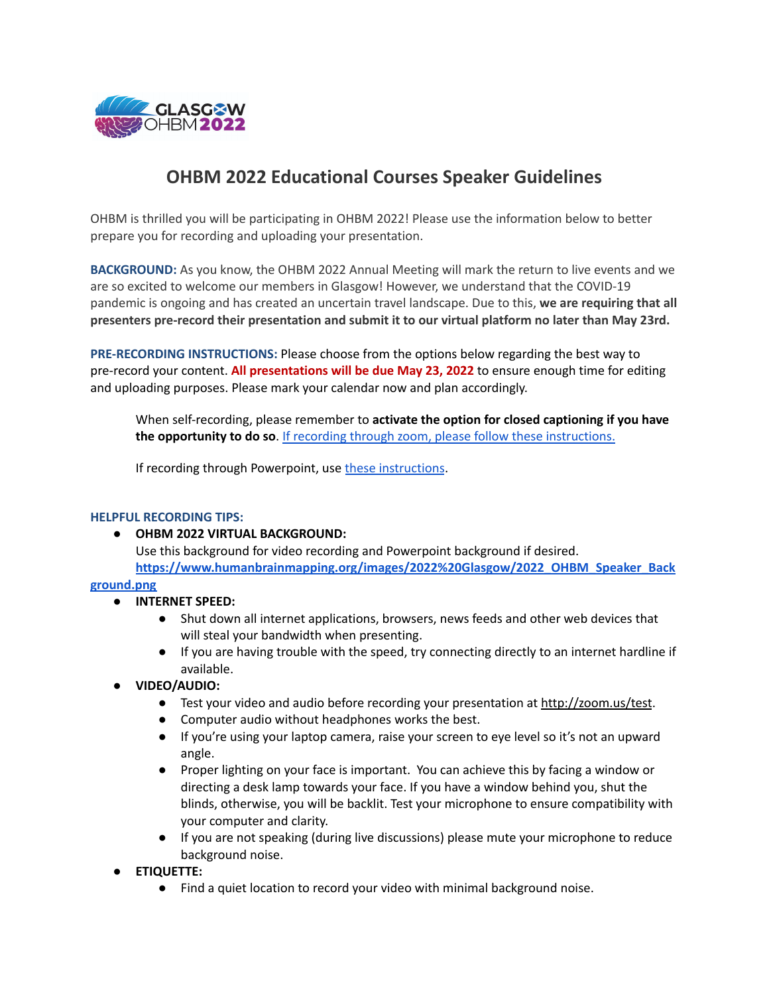

## **OHBM 2022 Educational Courses Speaker Guidelines**

OHBM is thrilled you will be participating in OHBM 2022! Please use the information below to better prepare you for recording and uploading your presentation.

**BACKGROUND:** As you know, the OHBM 2022 Annual Meeting will mark the return to live events and we are so excited to welcome our members in Glasgow! However, we understand that the COVID-19 pandemic is ongoing and has created an uncertain travel landscape. Due to this, **we are requiring that all presenters pre-record their presentation and submit it to our virtual platform no later than May 23rd.**

**PRE-RECORDING INSTRUCTIONS:** Please choose from the options below regarding the best way to pre-record your content. **All presentations will be due May 23, 2022** to ensure enough time for editing and uploading purposes. Please mark your calendar now and plan accordingly.

When self-recording, please remember to **activate the option for closed captioning if you have the opportunity to do so**. If recording through zoom, please follow these [instructions.](https://support.ep.jhu.edu/hc/en-us/articles/360052980391-Live-Transcription-for-Zoom-and-Teams-Meetings)

If recording through Powerpoint, use these [instructions](https://support.microsoft.com/en-us/office/record-a-presentation-2570dff5-f81c-40bc-b404-e04e95ffab33#:~:text=Open%20the%20slide%20you%20want,the%20PowerPoint%20window%2C%20select%20Record.&text=When%20you).

## **HELPFUL RECORDING TIPS:**

## **● OHBM 2022 VIRTUAL BACKGROUND:**

Use this background for video recording and Powerpoint background if desired. **[https://www.humanbrainmapping.org/images/2022%20Glasgow/2022\\_OHBM\\_Speaker\\_Back](https://www.humanbrainmapping.org/images/2022%20Glasgow/2022_OHBM_Speaker_Background.png)**

## **[ground.png](https://www.humanbrainmapping.org/images/2022%20Glasgow/2022_OHBM_Speaker_Background.png)**

- **● INTERNET SPEED:**
	- Shut down all internet applications, browsers, news feeds and other web devices that will steal your bandwidth when presenting.
	- If you are having trouble with the speed, try connecting directly to an internet hardline if available.
- **VIDEO/AUDIO:**
	- Test your video and audio before recording your presentation at <http://zoom.us/test>.
	- Computer audio without headphones works the best.
	- If you're using your laptop camera, raise your screen to eye level so it's not an upward angle.
	- Proper lighting on your face is important. You can achieve this by facing a window or directing a desk lamp towards your face. If you have a window behind you, shut the blinds, otherwise, you will be backlit. Test your microphone to ensure compatibility with your computer and clarity.
	- If you are not speaking (during live discussions) please mute your microphone to reduce background noise.
- **ETIQUETTE:**
	- Find a quiet location to record your video with minimal background noise.